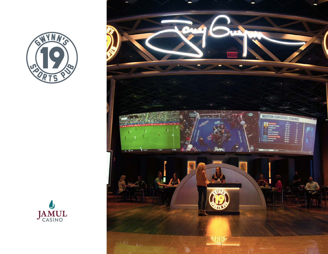



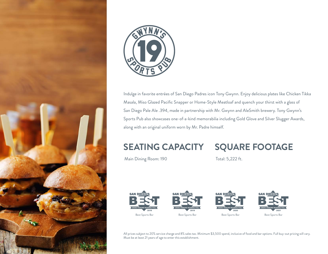



Indulge in favorite entrées of San Diego Padres icon Tony Gwynn. Enjoy delicious plates like Chicken Tikka Masala, Miso Glazed Pacific Snapper or Home-Style Meatloaf and quench your thirst with a glass of San Diego Pale Ale .394, made in partnership with Mr. Gwynn and AleSmith brewery. Tony Gwynn's Sports Pub also showcases one-of-a-kind memorabilia including Gold Glove and Silver Slugger Awards, along with an original uniform worn by Mr. Padre himself.

# **SEATING CAPACITY**

# **SQUARE FOOTAGE**

Main Dining Room: 190

Total: 5,222 ft.









All prices subject to 20% service charge and 8% sales tax. Minimum \$3,500 spend, inclusive of food and bar options. Full buy-out pricing will vary. Must be at least 21 years of age to enter this establishment.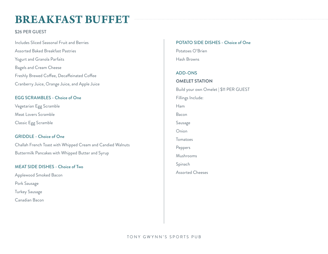# **BREAKFAST BUFFET**

### \$26 PER GUEST

Includes Sliced Seasonal Fruit and Berries Assorted Baked Breakfast Pastries Yogurt and Granola Parfaits Bagels and Cream Cheese Freshly Brewed Coffee, Decaffeinated Coffee Cranberry Juice, Orange Juice, and Apple Juice

# EGG SCRAMBLES - Choice of One

Vegetarian Egg Scramble Meat Lovers Scramble Classic Egg Scramble

# GRIDDLE - Choice of One

Challah French Toast with Whipped Cream and Candied Walnuts Buttermilk Pancakes with Whipped Butter and Syrup

#### MEAT SIDE DISHES - Choice of Two

Applewood Smoked Bacon Pork Sausage Turkey Sausage Canadian Bacon

# POTATO SIDE DISHES - Choice of One

Potatoes O'Brien Hash Browns

#### ADD-ONS

**OMELET STATION** Build your own Omelet | \$11 PER GUEST Fillings Include: Ham Bacon Sausage Onion Tomatoes Peppers Mushrooms Spinach Assorted Cheeses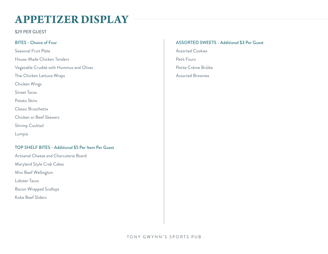# **APPETIZER DISPLAY**

\$29 PER GUEST

# BITES - Choice of Four

Seasonal Fruit Plate House-Made Chicken Tenders Vegetable Crudité with Hummus and Olives Thai Chicken Lettuce Wraps Chicken Wings Street Tacos Potato Skins Classic Bruschetta Chicken or Beef Skewers Shrimp Cocktail Lumpia

#### TOP SHELF BITES - Additional \$5 Per Item Per Guest

Artisanal Cheese and Charcuterie Board Maryland Style Crab Cakes Mini Beef Wellington Lobster Tacos Bacon-Wrapped Scallops Kobe Beef Sliders

#### ASSORTED SWEETS - Additional \$3 Per Guest

Assorted Cookies Petit Fours Petite Crème Brûlée Assorted Brownies